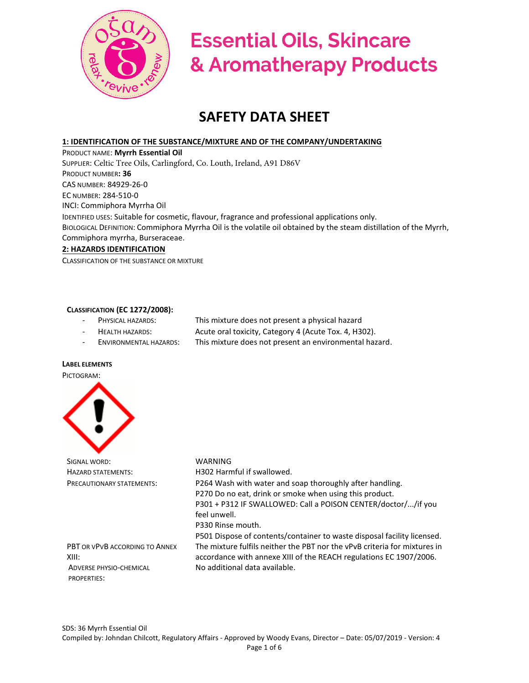

# **Essential Oils, Skincare** & Aromatherapy Products

# **SAFETY DATA SHEET**

# **1: IDENTIFICATION OF THE SUBSTANCE/MIXTURE AND OF THE COMPANY/UNDERTAKING**

PRODUCT NAME: **Myrrh Essential Oil**  SUPPLIER: Celtic Tree Oils, Carlingford, Co. Louth, Ireland, A91 D86V PRODUCT NUMBER**: 36**  CAS NUMBER: 84929-26-0 EC NUMBER: 284-510-0 INCI: Commiphora Myrrha Oil IDENTIFIED USES: Suitable for cosmetic, flavour, fragrance and professional applications only. BIOLOGICAL DEFINITION: Commiphora Myrrha Oil is the volatile oil obtained by the steam distillation of the Myrrh, Commiphora myrrha, Burseraceae. **2: HAZARDS IDENTIFICATION** 

CLASSIFICATION OF THE SUBSTANCE OR MIXTURE

## **CLASSIFICATION (EC 1272/2008):**

- PHYSICAL HAZARDS: This mixture does not present a physical hazard
	- HEALTH HAZARDS: Acute oral toxicity, Category 4 (Acute Tox. 4, H302).
- ENVIRONMENTAL HAZARDS: This mixture does not present an environmental hazard.

#### **LABEL ELEMENTS**

#### PICTOGRAM:



SIGNAL WORD: WARNING

HAZARD STATEMENTS: H302 Harmful if swallowed. PRECAUTIONARY STATEMENTS: P264 Wash with water and soap thoroughly after handling. P270 Do no eat, drink or smoke when using this product. P301 + P312 IF SWALLOWED: Call a POISON CENTER/doctor/.../if you feel unwell. P330 Rinse mouth.

PBT OR VPVB ACCORDING TO ANNEX XIII: ADVERSE PHYSIO-CHEMICAL

PROPERTIES:

P501 Dispose of contents/container to waste disposal facility licensed. The mixture fulfils neither the PBT nor the vPvB criteria for mixtures in accordance with annexe XIII of the REACH regulations EC 1907/2006. No additional data available.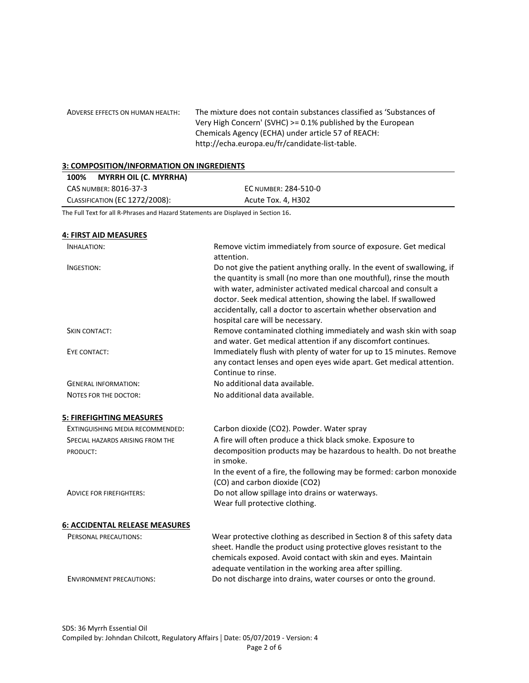ADVERSE EFFECTS ON HUMAN HEALTH: The mixture does not contain substances classified as 'Substances of Very High Concern' (SVHC) >= 0.1% published by the European Chemicals Agency (ECHA) under article 57 of REACH: http://echa.europa.eu/fr/candidate-list-table.

#### **3: COMPOSITION/INFORMATION ON INGREDIENTS**

| <b>MYRRH OIL (C. MYRRHA)</b><br>100%  |                      |
|---------------------------------------|----------------------|
| CAS NUMBER: 8016-37-3                 | EC NUMBER: 284-510-0 |
| <b>CLASSIFICATION (EC 1272/2008):</b> | Acute Tox. 4, H302   |

The Full Text for all R-Phrases and Hazard Statements are Displayed in Section 16.

# **4: FIRST AID MEASURES**  INHALATION: Remove victim immediately from source of exposure. Get medical attention. INGESTION: Do not give the patient anything orally. In the event of swallowing, if the quantity is small (no more than one mouthful), rinse the mouth with water, administer activated medical charcoal and consult a doctor. Seek medical attention, showing the label. If swallowed accidentally, call a doctor to ascertain whether observation and hospital care will be necessary. SKIN CONTACT: THE SKIN CONTACT: Remove contaminated clothing immediately and wash skin with soap and water. Get medical attention if any discomfort continues. EYE CONTACT: Immediately flush with plenty of water for up to 15 minutes. Remove any contact lenses and open eyes wide apart. Get medical attention. Continue to rinse. GENERAL INFORMATION: No additional data available. NOTES FOR THE DOCTOR: No additional data available. **5: FIREFIGHTING MEASURES**  EXTINGUISHING MEDIA RECOMMENDED: Carbon dioxide (CO2). Powder. Water spray SPECIAL HAZARDS ARISING FROM THE PRODUCT: A fire will often produce a thick black smoke. Exposure to decomposition products may be hazardous to health. Do not breathe in smoke. In the event of a fire, the following may be formed: carbon monoxide (CO) and carbon dioxide (CO2) ADVICE FOR FIREFIGHTERS: Do not allow spillage into drains or waterways. Wear full protective clothing. **6: ACCIDENTAL RELEASE MEASURES**  PERSONAL PRECAUTIONS: Wear protective clothing as described in Section 8 of this safety data sheet. Handle the product using protective gloves resistant to the chemicals exposed. Avoid contact with skin and eyes. Maintain adequate ventilation in the working area after spilling. ENVIRONMENT PRECAUTIONS: Do not discharge into drains, water courses or onto the ground.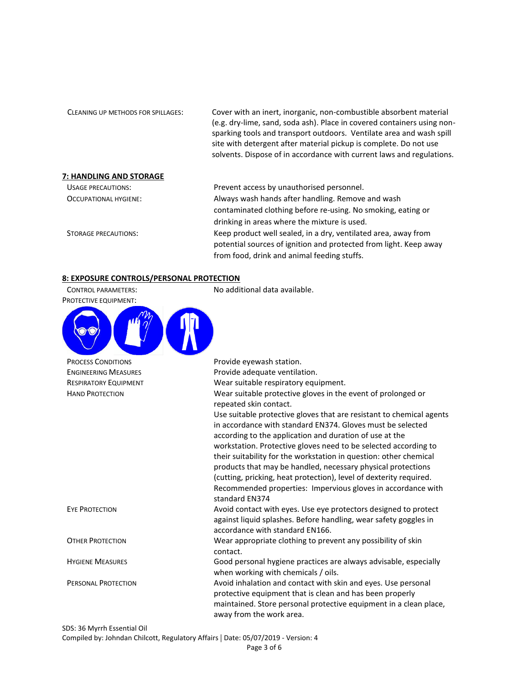| CLEANING UP METHODS FOR SPILLAGES: | Cover with an inert, inorganic, non-combustible absorbent material<br>(e.g. dry-lime, sand, soda ash). Place in covered containers using non-<br>sparking tools and transport outdoors. Ventilate area and wash spill<br>site with detergent after material pickup is complete. Do not use<br>solvents. Dispose of in accordance with current laws and regulations. |
|------------------------------------|---------------------------------------------------------------------------------------------------------------------------------------------------------------------------------------------------------------------------------------------------------------------------------------------------------------------------------------------------------------------|
| 7: HANDLING AND STORAGE            |                                                                                                                                                                                                                                                                                                                                                                     |
| <b>USAGE PRECAUTIONS:</b>          | Prevent access by unauthorised personnel.                                                                                                                                                                                                                                                                                                                           |
| OCCUPATIONAL HYGIENE:              | Always wash hands after handling. Remove and wash                                                                                                                                                                                                                                                                                                                   |
|                                    | contaminated clothing before re-using. No smoking, eating or                                                                                                                                                                                                                                                                                                        |
|                                    | drinking in areas where the mixture is used.                                                                                                                                                                                                                                                                                                                        |
| STORAGE PRECAUTIONS:               | Keep product well sealed, in a dry, ventilated area, away from                                                                                                                                                                                                                                                                                                      |
|                                    | potential sources of ignition and protected from light. Keep away                                                                                                                                                                                                                                                                                                   |
|                                    | from food, drink and animal feeding stuffs.                                                                                                                                                                                                                                                                                                                         |

# **8: EXPOSURE CONTROLS/PERSONAL PROTECTION**

| <b>CONTROL PARAMETERS:</b><br>PROTECTIVE EQUIPMENT: | No additional data available.                                                          |
|-----------------------------------------------------|----------------------------------------------------------------------------------------|
|                                                     |                                                                                        |
| <b>PROCESS CONDITIONS</b>                           | Provide eyewash station.                                                               |
| <b>ENGINEERING MEASURES</b>                         | Provide adequate ventilation.                                                          |
| <b>RESPIRATORY EQUIPMENT</b>                        | Wear suitable respiratory equipment.                                                   |
| <b>HAND PROTECTION</b>                              | Wear suitable protective gloves in the event of prolonged or<br>repeated skin contact. |
|                                                     | Use suitable protective gloves that are resistant to chemical agents                   |
|                                                     | in accordance with standard EN374. Gloves must be selected                             |
|                                                     | according to the application and duration of use at the                                |
|                                                     | workstation. Protective gloves need to be selected according to                        |
|                                                     | their suitability for the workstation in question: other chemical                      |
|                                                     | products that may be handled, necessary physical protections                           |
|                                                     | (cutting, pricking, heat protection), level of dexterity required.                     |
|                                                     | Recommended properties: Impervious gloves in accordance with<br>standard EN374         |
| <b>EYE PROTECTION</b>                               | Avoid contact with eyes. Use eye protectors designed to protect                        |
|                                                     | against liquid splashes. Before handling, wear safety goggles in                       |
|                                                     | accordance with standard EN166.                                                        |
| <b>OTHER PROTECTION</b>                             | Wear appropriate clothing to prevent any possibility of skin<br>contact.               |
| <b>HYGIENE MEASURES</b>                             | Good personal hygiene practices are always advisable, especially                       |
|                                                     | when working with chemicals / oils.                                                    |
| PERSONAL PROTECTION                                 | Avoid inhalation and contact with skin and eyes. Use personal                          |
|                                                     | protective equipment that is clean and has been properly                               |
|                                                     | maintained. Store personal protective equipment in a clean place,                      |
|                                                     | away from the work area.                                                               |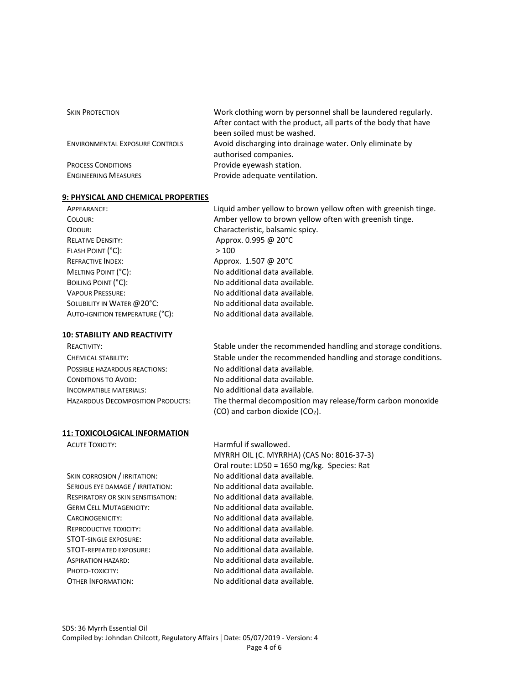| <b>SKIN PROTECTION</b>                 | Work clothing worn by personnel shall be laundered regularly.<br>After contact with the product, all parts of the body that have<br>been soiled must be washed. |
|----------------------------------------|-----------------------------------------------------------------------------------------------------------------------------------------------------------------|
| <b>ENVIRONMENTAL EXPOSURE CONTROLS</b> | Avoid discharging into drainage water. Only eliminate by<br>authorised companies.                                                                               |
|                                        |                                                                                                                                                                 |
| <b>PROCESS CONDITIONS</b>              | Provide eyewash station.                                                                                                                                        |
| <b>ENGINEERING MEASURES</b>            | Provide adequate ventilation.                                                                                                                                   |

#### **9: PHYSICAL AND CHEMICAL PROPERTIES**

| APPEARANCE:                     | Liquid amber yellow to brown yellow often with greenish tinge. |
|---------------------------------|----------------------------------------------------------------|
| COLOUR:                         | Amber yellow to brown yellow often with greenish tinge.        |
| ODOUR:                          | Characteristic, balsamic spicy.                                |
| <b>RELATIVE DENSITY:</b>        | Approx. 0.995 @ 20°C                                           |
| FLASH POINT (°C):               | >100                                                           |
| <b>REFRACTIVE INDEX:</b>        | Approx. 1.507 @ 20°C                                           |
| MELTING POINT (°C):             | No additional data available.                                  |
| BOILING POINT (°C):             | No additional data available.                                  |
| <b>VAPOUR PRESSURE:</b>         | No additional data available.                                  |
| SOLUBILITY IN WATER @ 20°C:     | No additional data available.                                  |
| AUTO-IGNITION TEMPERATURE (°C): | No additional data available.                                  |
|                                 |                                                                |

#### **10: STABILITY AND REACTIVITY**

#### **11: TOXICOLOGICAL INFORMATION**

SKIN CORROSION / IRRITATION: No additional data available. SERIOUS EYE DAMAGE / IRRITATION: No additional data available. RESPIRATORY OR SKIN SENSITISATION: No additional data available. GERM CELL MUTAGENICITY: No additional data available. CARCINOGENICITY: No additional data available. REPRODUCTIVE TOXICITY: No additional data available. STOT-SINGLE EXPOSURE: No additional data available. STOT-REPEATED EXPOSURE: No additional data available. ASPIRATION HAZARD: No additional data available. PHOTO-TOXICITY: No additional data available. OTHER INFORMATION: No additional data available.

No additional data available. No additional data available. No additional data available. The thermal decomposition may release/form carbon monoxide (CO) and carbon dioxide (CO2).

Stable under the recommended handling and storage conditions. Stable under the recommended handling and storage conditions.

ACUTE TOXICITY: ACUTE TOXICITY: MYRRH OIL (C. MYRRHA) (CAS No: 8016-37-3) Oral route: LD50 = 1650 mg/kg. Species: Rat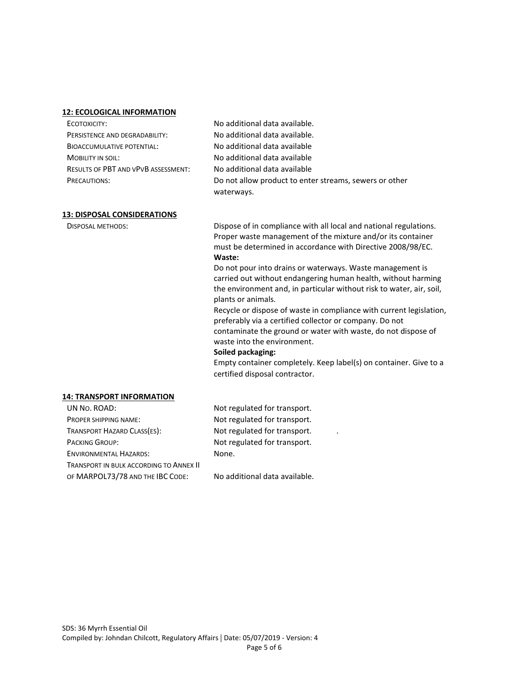#### **12: ECOLOGICAL INFORMATION**

| ECOTOXICITY:                               | No additional data available.                          |
|--------------------------------------------|--------------------------------------------------------|
| PERSISTENCE AND DEGRADABILITY:             | No additional data available.                          |
| <b>BIOACCUMULATIVE POTENTIAL:</b>          | No additional data available                           |
| MOBILITY IN SOIL:                          | No additional data available                           |
| <b>RESULTS OF PBT AND VPVB ASSESSMENT:</b> | No additional data available                           |
| PRECAUTIONS:                               | Do not allow product to enter streams, sewers or other |
|                                            | waterways.                                             |

#### **13: DISPOSAL CONSIDERATIONS**

DISPOSAL METHODS: Dispose of in compliance with all local and national regulations. Proper waste management of the mixture and/or its container must be determined in accordance with Directive 2008/98/EC. **Waste:**

> Do not pour into drains or waterways. Waste management is carried out without endangering human health, without harming the environment and, in particular without risk to water, air, soil, plants or animals.

Recycle or dispose of waste in compliance with current legislation, preferably via a certified collector or company. Do not contaminate the ground or water with waste, do not dispose of waste into the environment.

#### **Soiled packaging:**

Empty container completely. Keep label(s) on container. Give to a certified disposal contractor.

#### **14: TRANSPORT INFORMATION**

| UN No. ROAD:                            | Not regulated for transport. |
|-----------------------------------------|------------------------------|
| PROPER SHIPPING NAME:                   | Not regulated for transport. |
| TRANSPORT HAZARD CLASS(ES):             | Not regulated for transport. |
| <b>PACKING GROUP:</b>                   | Not regulated for transport. |
| <b>ENVIRONMENTAL HAZARDS:</b>           | None.                        |
| TRANSPORT IN BULK ACCORDING TO ANNEX II |                              |
|                                         |                              |

OF MARPOL73/78 AND THE IBC CODE: No additional data available.